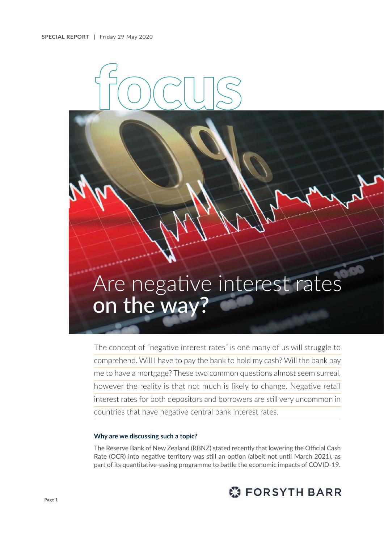# Are negative interest rates on the way?

The concept of "negative interest rates" is one many of us will struggle to comprehend. Will I have to pay the bank to hold my cash? Will the bank pay me to have a mortgage? These two common questions almost seem surreal, however the reality is that not much is likely to change. Negative retail interest rates for both depositors and borrowers are still very uncommon in countries that have negative central bank interest rates.

### **Why are we discussing such a topic?**

The Reserve Bank of New Zealand (RBNZ) stated recently that lowering the Official Cash Rate (OCR) into negative territory was still an option (albeit not until March 2021), as part of its quantitative-easing programme to battle the economic impacts of COVID-19.

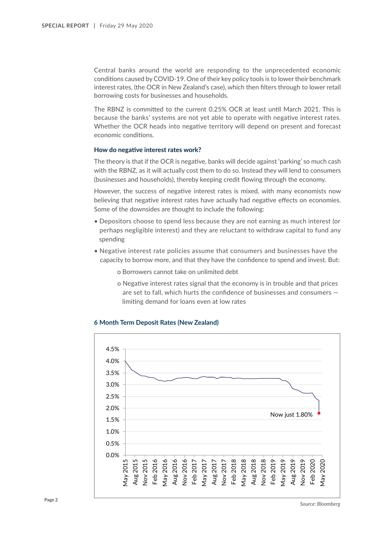Central banks around the world are responding to the unprecedented economic conditions caused by COVID-19. One of their key policy tools is to lower their benchmark interest rates, (the OCR in New Zealand's case), which then filters through to lower retail borrowing costs for businesses and households.

The RBNZ is committed to the current 0.25% OCR at least until March 2021. This is because the banks' systems are not yet able to operate with negative interest rates. Whether the OCR heads into negative territory will depend on present and forecast economic conditions.

#### **How do negative interest rates work?**

The theory is that if the OCR is negative, banks will decide against 'parking' so much cash with the RBNZ, as it will actually cost them to do so. Instead they will lend to consumers (businesses and households), thereby keeping credit flowing through the economy.

However, the success of negative interest rates is mixed, with many economists now believing that negative interest rates have actually had negative effects on economies. Some of the downsides are thought to include the following:

- Depositors choose to spend less because they are not earning as much interest (or perhaps negligible interest) and they are reluctant to withdraw capital to fund any spending
- Negative interest rate policies assume that consumers and businesses have the capacity to borrow more, and that they have the confidence to spend and invest. But:
	- o Borrowers cannot take on unlimited debt
	- o Negative interest rates signal that the economy is in trouble and that prices are set to fall, which hurts the confidence of businesses and consumers limiting demand for loans even at low rates



#### **6 Month Term Deposit Rates (New Zealand)**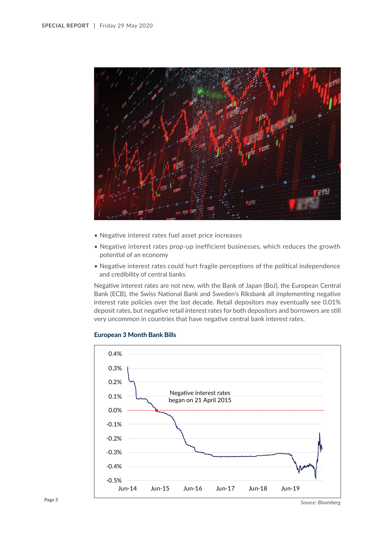

- Negative interest rates fuel asset price increases
- Negative interest rates prop-up inefficient businesses, which reduces the growth potential of an economy
- Negative interest rates could hurt fragile perceptions of the political independence and credibility of central banks

Negative interest rates are not new, with the Bank of Japan (BoJ), the European Central Bank (ECB), the Swiss National Bank and Sweden's Riksbank all implementing negative interest rate policies over the last decade. Retail depositors may eventually see 0.01% deposit rates, but negative retail interest rates for both depositors and borrowers are still very uncommon in countries that have negative central bank interest rates.



## **European 3 Month Bank Bills**

*Source: Bloomberg*